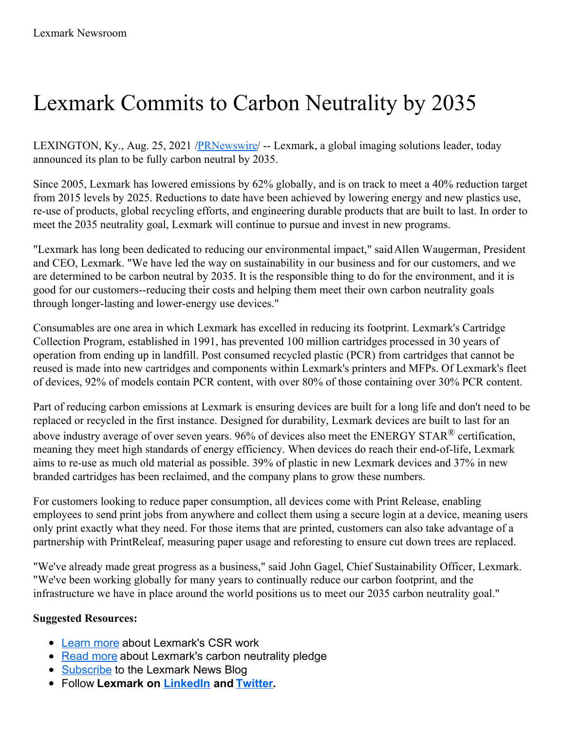## Lexmark Commits to Carbon Neutrality by 2035

LEXINGTON, Ky., Aug. 25, 2021 /**PRNewswire/** -- Lexmark, a global imaging solutions leader, today announced its plan to be fully carbon neutral by 2035.

Since 2005, Lexmark has lowered emissions by 62% globally, and is on track to meet a 40% reduction target from 2015 levels by 2025. Reductions to date have been achieved by lowering energy and new plastics use, re-use of products, global recycling efforts, and engineering durable products that are built to last. In order to meet the 2035 neutrality goal, Lexmark will continue to pursue and invest in new programs.

"Lexmark has long been dedicated to reducing our environmental impact," saidAllen Waugerman, President and CEO, Lexmark. "We have led the way on sustainability in our business and for our customers, and we are determined to be carbon neutral by 2035. It is the responsible thing to do for the environment, and it is good for our customers--reducing their costs and helping them meet their own carbon neutrality goals through longer-lasting and lower-energy use devices."

Consumables are one area in which Lexmark has excelled in reducing its footprint. Lexmark's Cartridge Collection Program, established in 1991, has prevented 100 million cartridges processed in 30 years of operation from ending up in landfill. Post consumed recycled plastic (PCR) from cartridges that cannot be reused is made into new cartridges and components within Lexmark's printers and MFPs. Of Lexmark's fleet of devices, 92% of models contain PCR content, with over 80% of those containing over 30% PCR content.

Part of reducing carbon emissions at Lexmark is ensuring devices are built for a long life and don't need to be replaced or recycled in the first instance. Designed for durability, Lexmark devices are built to last for an above industry average of over seven years. 96% of devices also meet the ENERGY STAR $^{\circledR}$  certification, meaning they meet high standards of energy efficiency. When devices do reach their end-of-life, Lexmark aims to re-use as much old material as possible. 39% of plastic in new Lexmark devices and 37% in new branded cartridges has been reclaimed, and the company plans to grow these numbers.

For customers looking to reduce paper consumption, all devices come with Print Release, enabling employees to send print jobs from anywhere and collect them using a secure login at a device, meaning users only print exactly what they need. For those items that are printed, customers can also take advantage of a partnership with PrintReleaf, measuring paper usage and reforesting to ensure cut down trees are replaced.

"We've already made great progress as a business," said John Gagel, Chief Sustainability Officer, Lexmark. "We've been working globally for many years to continually reduce our carbon footprint, and the infrastructure we have in place around the world positions us to meet our 2035 carbon neutrality goal."

## **Suggested Resources:**

- [Learn](https://c212.net/c/link/?t=0&l=en&o=3269931-1&h=3571948260&u=https%3A%2F%2Fcsr.lexmark.com%2Findex.php&a=Learn+more) more about Lexmark's CSR work
- [Read](https://c212.net/c/link/?t=0&l=en&o=3269931-1&h=4033409239&u=https%3A%2F%2Fcsr.lexmark.com%2Fgreenhouse-gas-emissions.php&a=Read+more) more about Lexmark's carbon neutrality pledge
- [Subscribe](https://c212.net/c/link/?t=0&l=en&o=3269931-1&h=3717758254&u=https%3A%2F%2Fc212.net%2Fc%2Flink%2F%3Ft%3D0%26l%3Den%26o%3D3143135-1%26h%3D570954166%26u%3Dhttps%253A%252F%252Fwww.lexmark.com%252Fen_us%252Flexmark-blog.html%26a%3DSubscribe&a=Subscribe) to the Lexmark News Blog
- Follow **Lexmark on [LinkedIn](https://c212.net/c/link/?t=0&l=en&o=3269931-1&h=516046659&u=https%3A%2F%2Fc212.net%2Fc%2Flink%2F%3Ft%3D0%26l%3Den%26o%3D3143135-1%26h%3D2278906309%26u%3Dhttps%253A%252F%252Fwww.linkedin.com%252Fcompany%252Flexmark%26a%3DLinkedIn&a=LinkedIn) and [Twitter](https://c212.net/c/link/?t=0&l=en&o=3269931-1&h=3445004193&u=https%3A%2F%2Fc212.net%2Fc%2Flink%2F%3Ft%3D0%26l%3Den%26o%3D3143135-1%26h%3D1437869542%26u%3Dhttps%253A%252F%252Ftwitter.com%252Flexmark%26a%3DTwitter&a=Twitter).**